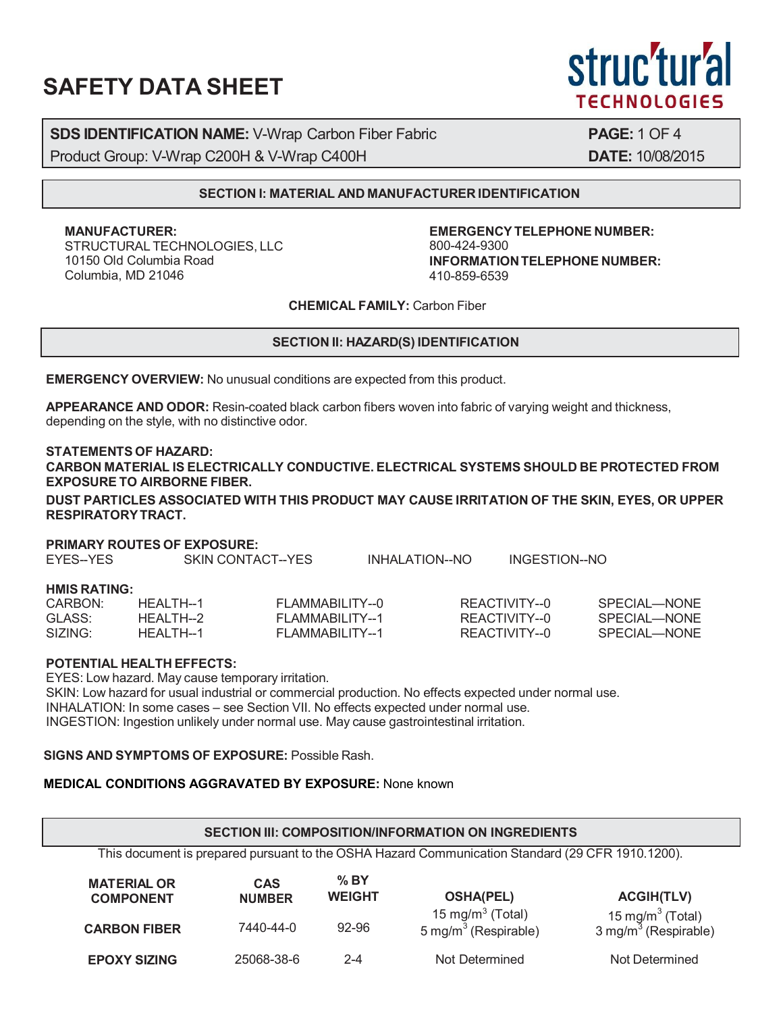# **SAFETY DATA SHEET**

struc'tur'al **TECHNOLOGIES** 

**SDS IDENTIFICATION NAME:** V-Wrap Carbon Fiber Fabric **PAGE:** 1 OF 4 Product Group: V-Wrap C200H & V-Wrap C400H **DATE:** 10/08/2015

## **SECTION I: MATERIAL AND MANUFACTURER IDENTIFICATION**

**MANUFACTURER:** STRUCTURAL TECHNOLOGIES, LLC 10150 Old Columbia Road Columbia, MD 21046

**EMERGENCYTELEPHONE NUMBER:** 800-424-9300 **INFORMATIONTELEPHONE NUMBER:** 410-859-6539

**CHEMICAL FAMILY:** Carbon Fiber

## **SECTION II: HAZARD(S) IDENTIFICATION**

**EMERGENCY OVERVIEW:** No unusual conditions are expected from this product.

**APPEARANCE AND ODOR:** Resin-coated black carbon fibers woven into fabric of varying weight and thickness, depending on the style, with no distinctive odor.

#### **STATEMENTS OF HAZARD:**

**CARBON MATERIAL IS ELECTRICALLY CONDUCTIVE. ELECTRICAL SYSTEMS SHOULD BE PROTECTED FROM EXPOSURE TO AIRBORNE FIBER.**

**DUST PARTICLES ASSOCIATED WITH THIS PRODUCT MAY CAUSE IRRITATION OF THE SKIN, EYES, OR UPPER RESPIRATORYTRACT.**

#### **PRIMARY ROUTES OF EXPOSURE:**

| EYES--YES           |            | SKIN CONTACT--YES | INHALATION--NO | INGESTION--NO |              |
|---------------------|------------|-------------------|----------------|---------------|--------------|
| <b>HMIS RATING:</b> |            |                   |                |               |              |
| CARBON:             | HFAI TH--1 | FLAMMABILITY--0   |                | REACTIVITY--0 | SPECIAL—NONE |
| GLASS:              | HFAI TH--2 | FLAMMABILITY--1   |                | REACTIVITY--0 | SPECIAL—NONE |
| SIZING:             | HEALTH--1  | FLAMMABILITY--1   |                | REACTIVITY--0 | SPECIAL—NONE |

#### **POTENTIAL HEALTH EFFECTS:**

EYES: Low hazard. May cause temporary irritation. SKIN: Low hazard for usual industrial or commercial production. No effects expected under normal use. INHALATION: In some cases – see Section VII. No effects expected under normal use. INGESTION: Ingestion unlikely under normal use. May cause gastrointestinal irritation.

## **SIGNS AND SYMPTOMS OF EXPOSURE:** Possible Rash.

# **MEDICAL CONDITIONS AGGRAVATED BY EXPOSURE:** None known

| SECTION III: COMPOSITION/INFORMATION ON INGREDIENTS                                              |                             |                          |                                                         |                                                |  |  |  |  |  |
|--------------------------------------------------------------------------------------------------|-----------------------------|--------------------------|---------------------------------------------------------|------------------------------------------------|--|--|--|--|--|
| This document is prepared pursuant to the OSHA Hazard Communication Standard (29 CFR 1910.1200). |                             |                          |                                                         |                                                |  |  |  |  |  |
| <b>MATERIAL OR</b><br><b>COMPONENT</b>                                                           | <b>CAS</b><br><b>NUMBER</b> | $\%$ BY<br><b>WEIGHT</b> | <b>OSHA(PEL)</b>                                        | <b>ACGIH(TLV)</b>                              |  |  |  |  |  |
| <b>CARBON FIBER</b>                                                                              | 7440-44-0                   | 92-96                    | 15 mg/m $3$ (Total)<br>5 mg/m <sup>3</sup> (Respirable) | 15 mg/m $3$ (Total)<br>3 mg/m $3$ (Respirable) |  |  |  |  |  |
| <b>EPOXY SIZING</b>                                                                              | 25068-38-6                  | 2-4                      | Not Determined                                          | Not Determined                                 |  |  |  |  |  |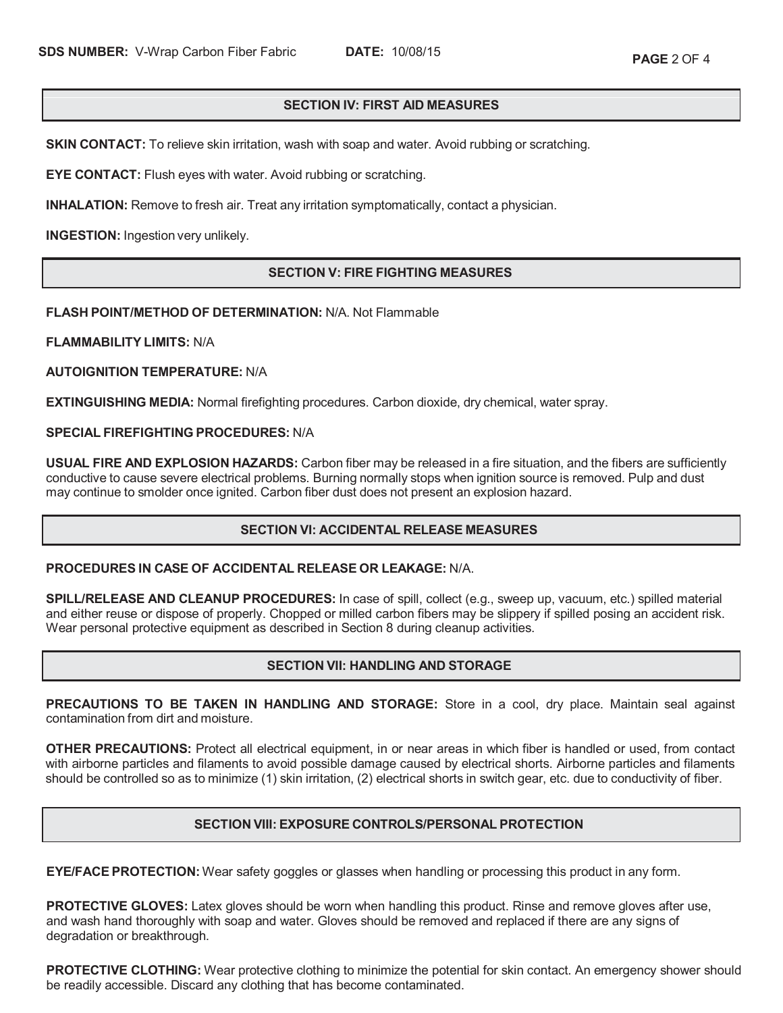# **SECTION IV: FIRST AID MEASURES**

**SKIN CONTACT:** To relieve skin irritation, wash with soap and water. Avoid rubbing or scratching.

**EYE CONTACT:** Flush eyes with water. Avoid rubbing or scratching.

**INHALATION:** Remove to fresh air. Treat any irritation symptomatically, contact a physician.

**INGESTION:** Ingestion very unlikely.

# **SECTION V: FIRE FIGHTING MEASURES**

## **FLASH POINT/METHOD OF DETERMINATION:** N/A. Not Flammable

**FLAMMABILITY LIMITS:** N/A

**AUTOIGNITION TEMPERATURE:** N/A

**EXTINGUISHING MEDIA:** Normal firefighting procedures. Carbon dioxide, dry chemical, water spray.

**SPECIAL FIREFIGHTING PROCEDURES:** N/A

**USUAL FIRE AND EXPLOSION HAZARDS:** Carbon fiber may be released in a fire situation, and the fibers are sufficiently conductive to cause severe electrical problems. Burning normally stops when ignition source is removed. Pulp and dust may continue to smolder once ignited. Carbon fiber dust does not present an explosion hazard.

## **SECTION VI: ACCIDENTAL RELEASE MEASURES**

#### **PROCEDURES IN CASE OF ACCIDENTAL RELEASE OR LEAKAGE:** N/A.

**SPILL/RELEASE AND CLEANUP PROCEDURES:** In case of spill, collect (e.g., sweep up, vacuum, etc.) spilled material and either reuse or dispose of properly. Chopped or milled carbon fibers may be slippery if spilled posing an accident risk. Wear personal protective equipment as described in Section 8 during cleanup activities.

## **SECTION VII: HANDLING AND STORAGE**

**PRECAUTIONS TO BE TAKEN IN HANDLING AND STORAGE:** Store in a cool, dry place. Maintain seal against contamination from dirt and moisture.

**OTHER PRECAUTIONS:** Protect all electrical equipment, in or near areas in which fiber is handled or used, from contact with airborne particles and filaments to avoid possible damage caused by electrical shorts. Airborne particles and filaments should be controlled so as to minimize (1) skin irritation, (2) electrical shorts in switch gear, etc. due to conductivity of fiber.

## **SECTION VIII: EXPOSURE CONTROLS/PERSONAL PROTECTION**

**EYE/FACE PROTECTION:** Wear safety goggles or glasses when handling or processing this product in any form.

**PROTECTIVE GLOVES:** Latex gloves should be worn when handling this product. Rinse and remove gloves after use, and wash hand thoroughly with soap and water. Gloves should be removed and replaced if there are any signs of degradation or breakthrough.

**PROTECTIVE CLOTHING:** Wear protective clothing to minimize the potential for skin contact. An emergency shower should be readily accessible. Discard any clothing that has become contaminated.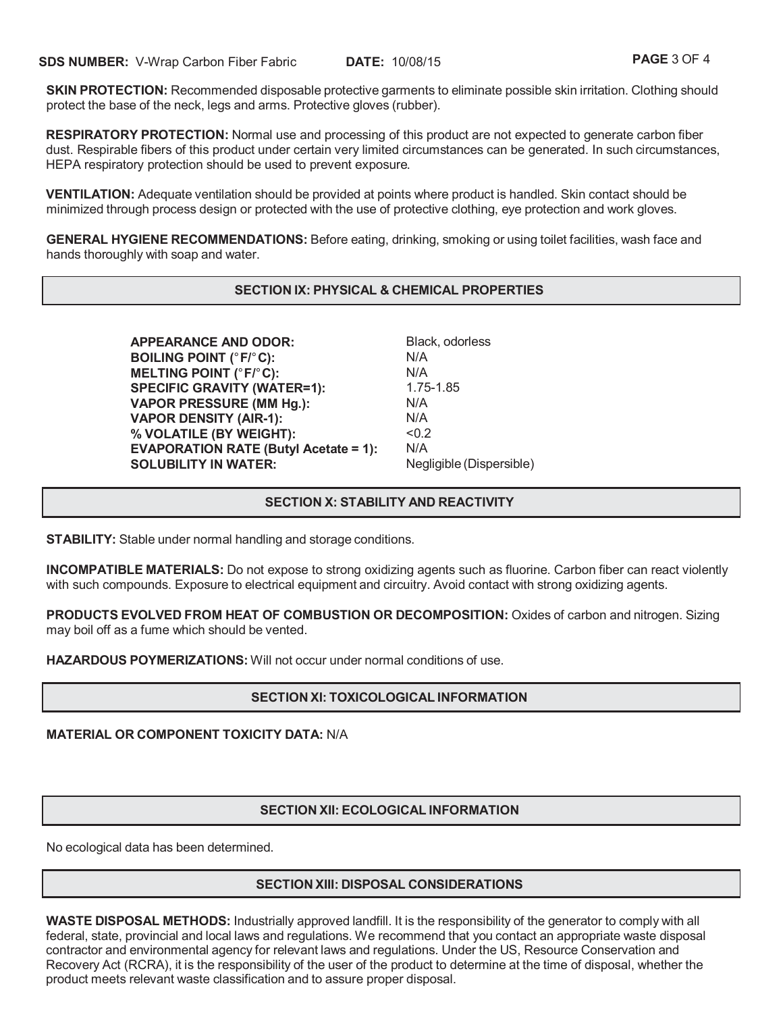**SKIN PROTECTION:** Recommended disposable protective garments to eliminate possible skin irritation. Clothing should protect the base of the neck, legs and arms. Protective gloves (rubber).

**RESPIRATORY PROTECTION:** Normal use and processing of this product are not expected to generate carbon fiber dust. Respirable fibers of this product under certain very limited circumstances can be generated. In such circumstances, HEPA respiratory protection should be used to prevent exposure.

**VENTILATION:** Adequate ventilation should be provided at points where product is handled. Skin contact should be minimized through process design or protected with the use of protective clothing, eye protection and work gloves.

**GENERAL HYGIENE RECOMMENDATIONS:** Before eating, drinking, smoking or using toilet facilities, wash face and hands thoroughly with soap and water.

## **SECTION IX: PHYSICAL & CHEMICAL PROPERTIES**

**APPEARANCE AND ODOR:** Black, odorless **BOILING POINT (**°**F/**°**C):** N/A **MELTING POINT (**°**F/**°**C):** N/A **SPECIFIC GRAVITY (WATER=1):** 1.75-1.85 **VAPOR PRESSURE (MM Hg.):** N/A **VAPOR DENSITY (AIR-1):** N/A **% VOLATILE (BY WEIGHT):** <0.2 **EVAPORATION RATE (Butyl Acetate = 1):** N/A **SOLUBILITY IN WATER:** Negligible (Dispersible)

# **SECTION X: STABILITY AND REACTIVITY**

**STABILITY:** Stable under normal handling and storage conditions.

**INCOMPATIBLE MATERIALS:** Do not expose to strong oxidizing agents such as fluorine. Carbon fiber can react violently with such compounds. Exposure to electrical equipment and circuitry. Avoid contact with strong oxidizing agents.

**PRODUCTS EVOLVED FROM HEAT OF COMBUSTION OR DECOMPOSITION:** Oxides of carbon and nitrogen. Sizing may boil off as a fume which should be vented.

**HAZARDOUS POYMERIZATIONS:** Will not occur under normal conditions of use.

## **SECTION XI: TOXICOLOGICAL INFORMATION**

#### **MATERIAL OR COMPONENT TOXICITY DATA:** N/A

#### **SECTION XII: ECOLOGICAL INFORMATION**

No ecological data has been determined.

## **SECTION XIII: DISPOSAL CONSIDERATIONS**

**WASTE DISPOSAL METHODS:** Industrially approved landfill. It is the responsibility of the generator to comply with all federal, state, provincial and local laws and regulations. We recommend that you contact an appropriate waste disposal contractor and environmental agency for relevant laws and regulations. Under the US, Resource Conservation and Recovery Act (RCRA), it is the responsibility of the user of the product to determine at the time of disposal, whether the product meets relevant waste classification and to assure proper disposal.